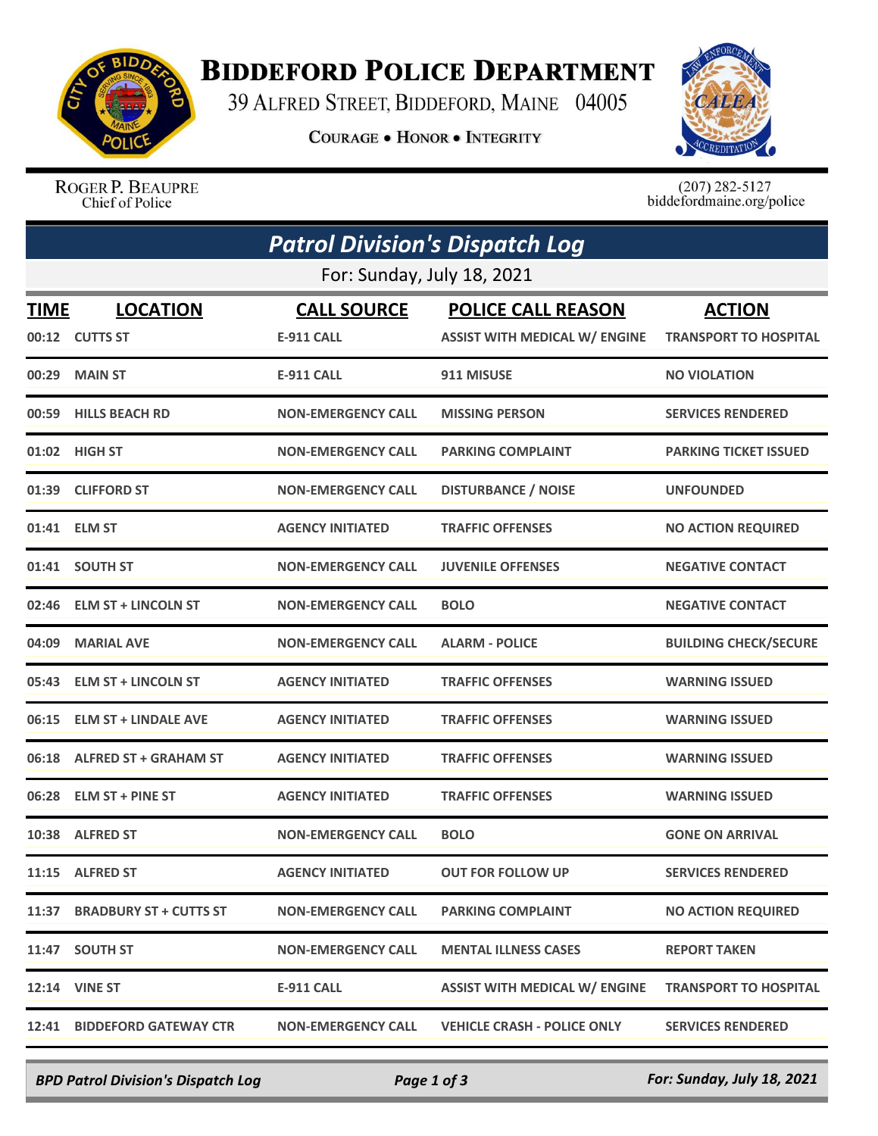

## **BIDDEFORD POLICE DEPARTMENT**

39 ALFRED STREET, BIDDEFORD, MAINE 04005

**COURAGE . HONOR . INTEGRITY** 



ROGER P. BEAUPRE Chief of Police

 $(207)$  282-5127<br>biddefordmaine.org/police

|                            | <b>Patrol Division's Dispatch Log</b> |                                         |                                                                   |                                               |  |  |  |
|----------------------------|---------------------------------------|-----------------------------------------|-------------------------------------------------------------------|-----------------------------------------------|--|--|--|
| For: Sunday, July 18, 2021 |                                       |                                         |                                                                   |                                               |  |  |  |
| <b>TIME</b>                | <b>LOCATION</b><br>00:12 CUTTS ST     | <b>CALL SOURCE</b><br><b>E-911 CALL</b> | <b>POLICE CALL REASON</b><br><b>ASSIST WITH MEDICAL W/ ENGINE</b> | <b>ACTION</b><br><b>TRANSPORT TO HOSPITAL</b> |  |  |  |
| 00:29                      | <b>MAIN ST</b>                        | <b>E-911 CALL</b>                       | 911 MISUSE                                                        | <b>NO VIOLATION</b>                           |  |  |  |
|                            | 00:59 HILLS BEACH RD                  | <b>NON-EMERGENCY CALL</b>               | <b>MISSING PERSON</b>                                             | <b>SERVICES RENDERED</b>                      |  |  |  |
| 01:02                      | <b>HIGH ST</b>                        | <b>NON-EMERGENCY CALL</b>               | <b>PARKING COMPLAINT</b>                                          | <b>PARKING TICKET ISSUED</b>                  |  |  |  |
|                            | 01:39 CLIFFORD ST                     | <b>NON-EMERGENCY CALL</b>               | <b>DISTURBANCE / NOISE</b>                                        | <b>UNFOUNDED</b>                              |  |  |  |
| 01:41                      | <b>ELM ST</b>                         | <b>AGENCY INITIATED</b>                 | <b>TRAFFIC OFFENSES</b>                                           | <b>NO ACTION REQUIRED</b>                     |  |  |  |
|                            | 01:41 SOUTH ST                        | <b>NON-EMERGENCY CALL</b>               | <b>JUVENILE OFFENSES</b>                                          | <b>NEGATIVE CONTACT</b>                       |  |  |  |
| 02:46                      | <b>ELM ST + LINCOLN ST</b>            | <b>NON-EMERGENCY CALL</b>               | <b>BOLO</b>                                                       | <b>NEGATIVE CONTACT</b>                       |  |  |  |
| 04:09                      | <b>MARIAL AVE</b>                     | <b>NON-EMERGENCY CALL</b>               | <b>ALARM - POLICE</b>                                             | <b>BUILDING CHECK/SECURE</b>                  |  |  |  |
|                            | 05:43 ELM ST + LINCOLN ST             | <b>AGENCY INITIATED</b>                 | <b>TRAFFIC OFFENSES</b>                                           | <b>WARNING ISSUED</b>                         |  |  |  |
| 06:15                      | <b>ELM ST + LINDALE AVE</b>           | <b>AGENCY INITIATED</b>                 | <b>TRAFFIC OFFENSES</b>                                           | <b>WARNING ISSUED</b>                         |  |  |  |
| 06:18                      | <b>ALFRED ST + GRAHAM ST</b>          | <b>AGENCY INITIATED</b>                 | <b>TRAFFIC OFFENSES</b>                                           | <b>WARNING ISSUED</b>                         |  |  |  |
| 06:28                      | <b>ELM ST + PINE ST</b>               | <b>AGENCY INITIATED</b>                 | <b>TRAFFIC OFFENSES</b>                                           | <b>WARNING ISSUED</b>                         |  |  |  |
| 10:38                      | <b>ALFRED ST</b>                      | <b>NON-EMERGENCY CALL</b>               | <b>BOLO</b>                                                       | <b>GONE ON ARRIVAL</b>                        |  |  |  |
|                            | 11:15 ALFRED ST                       | <b>AGENCY INITIATED</b>                 | <b>OUT FOR FOLLOW UP</b>                                          | <b>SERVICES RENDERED</b>                      |  |  |  |
|                            | 11:37 BRADBURY ST + CUTTS ST          | <b>NON-EMERGENCY CALL</b>               | <b>PARKING COMPLAINT</b>                                          | <b>NO ACTION REQUIRED</b>                     |  |  |  |
|                            | 11:47 SOUTH ST                        | <b>NON-EMERGENCY CALL</b>               | <b>MENTAL ILLNESS CASES</b>                                       | <b>REPORT TAKEN</b>                           |  |  |  |
|                            | <b>12:14 VINE ST</b>                  | E-911 CALL                              | <b>ASSIST WITH MEDICAL W/ ENGINE</b>                              | <b>TRANSPORT TO HOSPITAL</b>                  |  |  |  |
|                            | 12:41 BIDDEFORD GATEWAY CTR           | <b>NON-EMERGENCY CALL</b>               | <b>VEHICLE CRASH - POLICE ONLY</b>                                | <b>SERVICES RENDERED</b>                      |  |  |  |

*BPD Patrol Division's Dispatch Log Page 1 of 3 For: Sunday, July 18, 2021*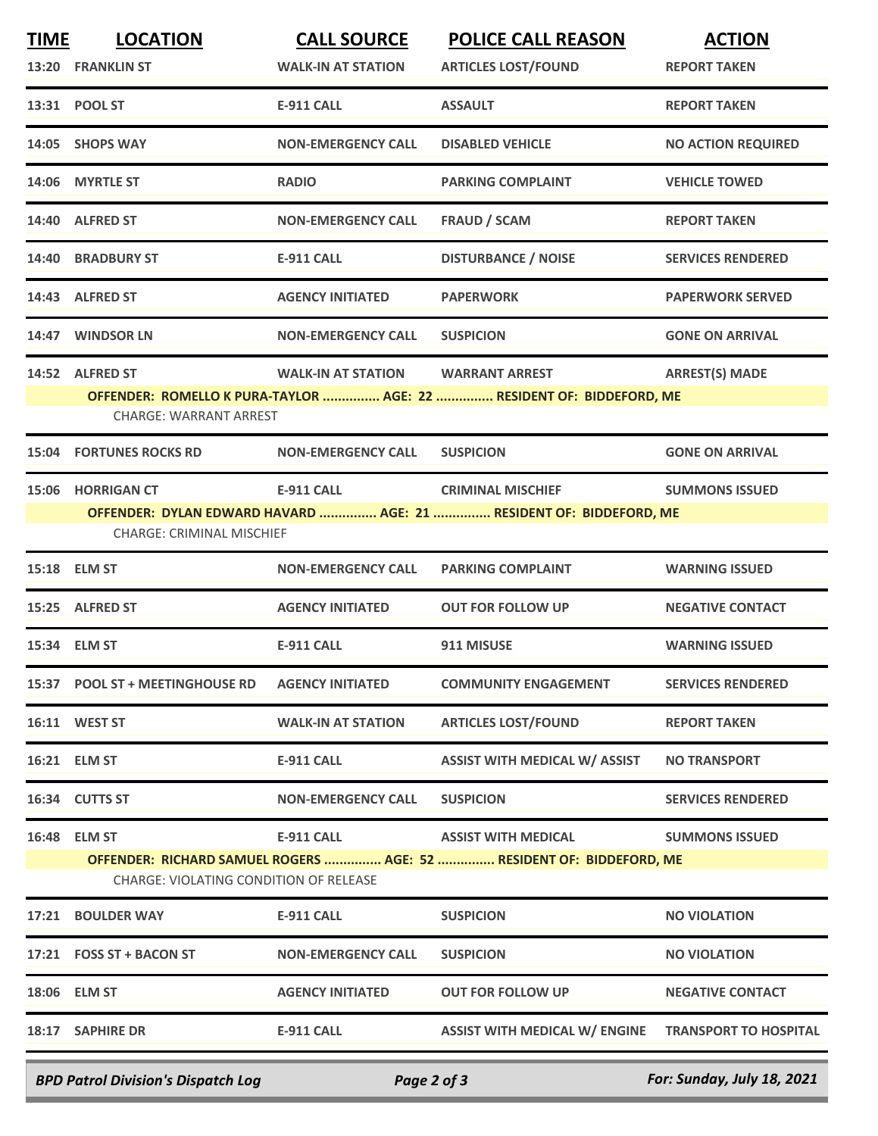| <b>TIME</b> | <b>LOCATION</b>                                                                                                | <b>CALL SOURCE</b>        | <b>POLICE CALL REASON</b>                                          | <b>ACTION</b>                |  |
|-------------|----------------------------------------------------------------------------------------------------------------|---------------------------|--------------------------------------------------------------------|------------------------------|--|
|             | 13:20 FRANKLIN ST                                                                                              | <b>WALK-IN AT STATION</b> | <b>ARTICLES LOST/FOUND</b>                                         | <b>REPORT TAKEN</b>          |  |
|             | 13:31 POOL ST                                                                                                  | <b>E-911 CALL</b>         | <b>ASSAULT</b>                                                     | <b>REPORT TAKEN</b>          |  |
|             | 14:05 SHOPS WAY                                                                                                | <b>NON-EMERGENCY CALL</b> | <b>DISABLED VEHICLE</b>                                            | <b>NO ACTION REQUIRED</b>    |  |
|             | 14:06 MYRTLE ST                                                                                                | <b>RADIO</b>              | <b>PARKING COMPLAINT</b>                                           | <b>VEHICLE TOWED</b>         |  |
|             | 14:40 ALFRED ST                                                                                                | <b>NON-EMERGENCY CALL</b> | <b>FRAUD / SCAM</b>                                                | <b>REPORT TAKEN</b>          |  |
| 14:40       | <b>BRADBURY ST</b>                                                                                             | <b>E-911 CALL</b>         | <b>DISTURBANCE / NOISE</b>                                         | <b>SERVICES RENDERED</b>     |  |
|             | 14:43 ALFRED ST                                                                                                | <b>AGENCY INITIATED</b>   | <b>PAPERWORK</b>                                                   | <b>PAPERWORK SERVED</b>      |  |
|             | 14:47 WINDSOR LN                                                                                               | <b>NON-EMERGENCY CALL</b> | <b>SUSPICION</b>                                                   | <b>GONE ON ARRIVAL</b>       |  |
|             | 14:52 ALFRED ST                                                                                                | <b>WALK-IN AT STATION</b> | <b>WARRANT ARREST</b>                                              | <b>ARREST(S) MADE</b>        |  |
|             | OFFENDER: ROMELLO K PURA-TAYLOR  AGE: 22  RESIDENT OF: BIDDEFORD, ME<br><b>CHARGE: WARRANT ARREST</b>          |                           |                                                                    |                              |  |
|             |                                                                                                                |                           |                                                                    |                              |  |
| 15:04       | <b>FORTUNES ROCKS RD</b>                                                                                       | <b>NON-EMERGENCY CALL</b> | <b>SUSPICION</b>                                                   | <b>GONE ON ARRIVAL</b>       |  |
|             | 15:06 HORRIGAN CT                                                                                              | <b>E-911 CALL</b>         | <b>CRIMINAL MISCHIEF</b>                                           | <b>SUMMONS ISSUED</b>        |  |
|             |                                                                                                                |                           | OFFENDER: DYLAN EDWARD HAVARD  AGE: 21  RESIDENT OF: BIDDEFORD, ME |                              |  |
|             | <b>CHARGE: CRIMINAL MISCHIEF</b>                                                                               |                           |                                                                    |                              |  |
|             | 15:18 ELM ST                                                                                                   | <b>NON-EMERGENCY CALL</b> | <b>PARKING COMPLAINT</b>                                           | <b>WARNING ISSUED</b>        |  |
|             | 15:25 ALFRED ST                                                                                                | <b>AGENCY INITIATED</b>   | <b>OUT FOR FOLLOW UP</b>                                           | <b>NEGATIVE CONTACT</b>      |  |
|             | 15:34 ELM ST                                                                                                   | <b>E-911 CALL</b>         | 911 MISUSE                                                         | <b>WARNING ISSUED</b>        |  |
|             | 15:37 POOL ST + MEETINGHOUSE RD                                                                                | <b>AGENCY INITIATED</b>   | <b>COMMUNITY ENGAGEMENT</b>                                        | <b>SERVICES RENDERED</b>     |  |
|             | 16:11 WEST ST                                                                                                  | <b>WALK-IN AT STATION</b> | <b>ARTICLES LOST/FOUND</b>                                         | <b>REPORT TAKEN</b>          |  |
|             | 16:21 ELM ST                                                                                                   | E-911 CALL                | <b>ASSIST WITH MEDICAL W/ ASSIST</b>                               | <b>NO TRANSPORT</b>          |  |
|             | 16:34 CUTTS ST                                                                                                 | <b>NON-EMERGENCY CALL</b> | <b>SUSPICION</b>                                                   | <b>SERVICES RENDERED</b>     |  |
|             | 16:48 ELM ST                                                                                                   | <b>E-911 CALL</b>         | <b>ASSIST WITH MEDICAL</b>                                         | <b>SUMMONS ISSUED</b>        |  |
|             | OFFENDER: RICHARD SAMUEL ROGERS  AGE: 52  RESIDENT OF: BIDDEFORD, ME<br>CHARGE: VIOLATING CONDITION OF RELEASE |                           |                                                                    |                              |  |
| 17:21       | <b>BOULDER WAY</b>                                                                                             | <b>E-911 CALL</b>         | <b>SUSPICION</b>                                                   | <b>NO VIOLATION</b>          |  |
|             | 17:21 FOSS ST + BACON ST                                                                                       | <b>NON-EMERGENCY CALL</b> | <b>SUSPICION</b>                                                   | <b>NO VIOLATION</b>          |  |
|             | 18:06 ELM ST                                                                                                   | <b>AGENCY INITIATED</b>   | <b>OUT FOR FOLLOW UP</b>                                           | <b>NEGATIVE CONTACT</b>      |  |
|             | 18:17 SAPHIRE DR                                                                                               | E-911 CALL                | <b>ASSIST WITH MEDICAL W/ ENGINE</b>                               | <b>TRANSPORT TO HOSPITAL</b> |  |
|             | <b>BPD Patrol Division's Dispatch Log</b>                                                                      | Page 2 of 3               |                                                                    | For: Sunday, July 18, 2021   |  |